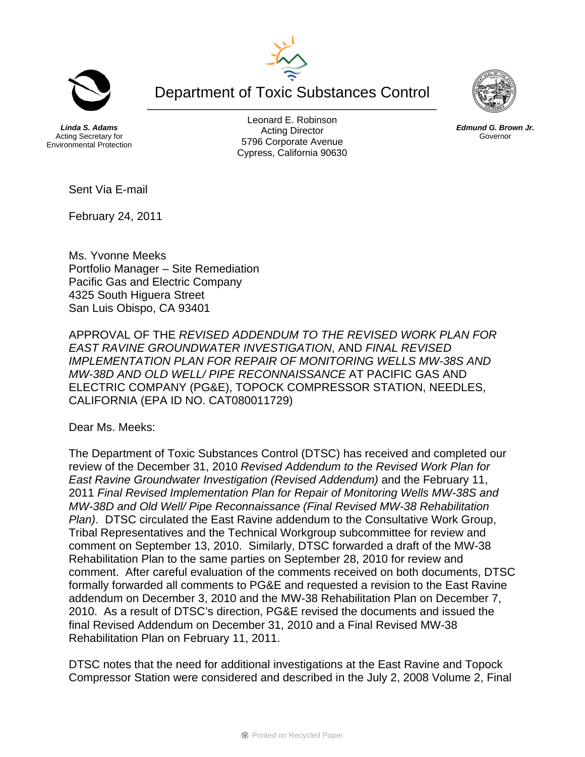Department of Toxic Substances Control

*Linda S. Adams*  Acting Secretary for Environmental Protection

Leonard E. Robinson Acting Director 5796 Corporate Avenue Cypress, California 90630



Sent Via E-mail

February 24, 2011

Ms. Yvonne Meeks Portfolio Manager – Site Remediation Pacific Gas and Electric Company 4325 South Higuera Street San Luis Obispo, CA 93401

APPROVAL OF THE *REVISED ADDENDUM TO THE REVISED WORK PLAN FOR EAST RAVINE GROUNDWATER INVESTIGATION*, AND *FINAL REVISED IMPLEMENTATION PLAN FOR REPAIR OF MONITORING WELLS MW-38S AND MW-38D AND OLD WELL/ PIPE RECONNAISSANCE* AT PACIFIC GAS AND ELECTRIC COMPANY (PG&E), TOPOCK COMPRESSOR STATION, NEEDLES, CALIFORNIA (EPA ID NO. CAT080011729)

Dear Ms. Meeks:

The Department of Toxic Substances Control (DTSC) has received and completed our review of the December 31, 2010 *Revised Addendum to the Revised Work Plan for East Ravine Groundwater Investigation (Revised Addendum)* and the February 11, 2011 *Final Revised Implementation Plan for Repair of Monitoring Wells MW-38S and MW-38D and Old Well/ Pipe Reconnaissance (Final Revised MW-38 Rehabilitation Plan)*. DTSC circulated the East Ravine addendum to the Consultative Work Group, Tribal Representatives and the Technical Workgroup subcommittee for review and comment on September 13, 2010. Similarly, DTSC forwarded a draft of the MW-38 Rehabilitation Plan to the same parties on September 28, 2010 for review and comment. After careful evaluation of the comments received on both documents, DTSC formally forwarded all comments to PG&E and requested a revision to the East Ravine addendum on December 3, 2010 and the MW-38 Rehabilitation Plan on December 7, 2010. As a result of DTSC's direction, PG&E revised the documents and issued the final Revised Addendum on December 31, 2010 and a Final Revised MW-38 Rehabilitation Plan on February 11, 2011.

DTSC notes that the need for additional investigations at the East Ravine and Topock Compressor Station were considered and described in the July 2, 2008 Volume 2, Final



*Edmund G. Brown Jr.*  Governor

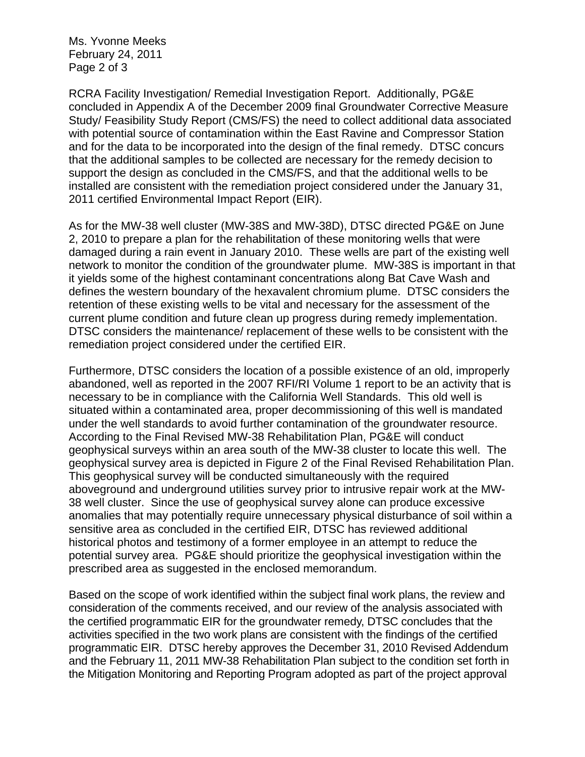Ms. Yvonne Meeks February 24, 2011 Page 2 of 3

RCRA Facility Investigation/ Remedial Investigation Report. Additionally, PG&E concluded in Appendix A of the December 2009 final Groundwater Corrective Measure Study/ Feasibility Study Report (CMS/FS) the need to collect additional data associated with potential source of contamination within the East Ravine and Compressor Station and for the data to be incorporated into the design of the final remedy. DTSC concurs that the additional samples to be collected are necessary for the remedy decision to support the design as concluded in the CMS/FS, and that the additional wells to be installed are consistent with the remediation project considered under the January 31, 2011 certified Environmental Impact Report (EIR).

As for the MW-38 well cluster (MW-38S and MW-38D), DTSC directed PG&E on June 2, 2010 to prepare a plan for the rehabilitation of these monitoring wells that were damaged during a rain event in January 2010. These wells are part of the existing well network to monitor the condition of the groundwater plume. MW-38S is important in that it yields some of the highest contaminant concentrations along Bat Cave Wash and defines the western boundary of the hexavalent chromium plume. DTSC considers the retention of these existing wells to be vital and necessary for the assessment of the current plume condition and future clean up progress during remedy implementation. DTSC considers the maintenance/ replacement of these wells to be consistent with the remediation project considered under the certified EIR.

Furthermore, DTSC considers the location of a possible existence of an old, improperly abandoned, well as reported in the 2007 RFI/RI Volume 1 report to be an activity that is necessary to be in compliance with the California Well Standards. This old well is situated within a contaminated area, proper decommissioning of this well is mandated under the well standards to avoid further contamination of the groundwater resource. According to the Final Revised MW-38 Rehabilitation Plan, PG&E will conduct geophysical surveys within an area south of the MW-38 cluster to locate this well. The geophysical survey area is depicted in Figure 2 of the Final Revised Rehabilitation Plan. This geophysical survey will be conducted simultaneously with the required aboveground and underground utilities survey prior to intrusive repair work at the MW-38 well cluster. Since the use of geophysical survey alone can produce excessive anomalies that may potentially require unnecessary physical disturbance of soil within a sensitive area as concluded in the certified EIR, DTSC has reviewed additional historical photos and testimony of a former employee in an attempt to reduce the potential survey area. PG&E should prioritize the geophysical investigation within the prescribed area as suggested in the enclosed memorandum.

Based on the scope of work identified within the subject final work plans, the review and consideration of the comments received, and our review of the analysis associated with the certified programmatic EIR for the groundwater remedy, DTSC concludes that the activities specified in the two work plans are consistent with the findings of the certified programmatic EIR. DTSC hereby approves the December 31, 2010 Revised Addendum and the February 11, 2011 MW-38 Rehabilitation Plan subject to the condition set forth in the Mitigation Monitoring and Reporting Program adopted as part of the project approval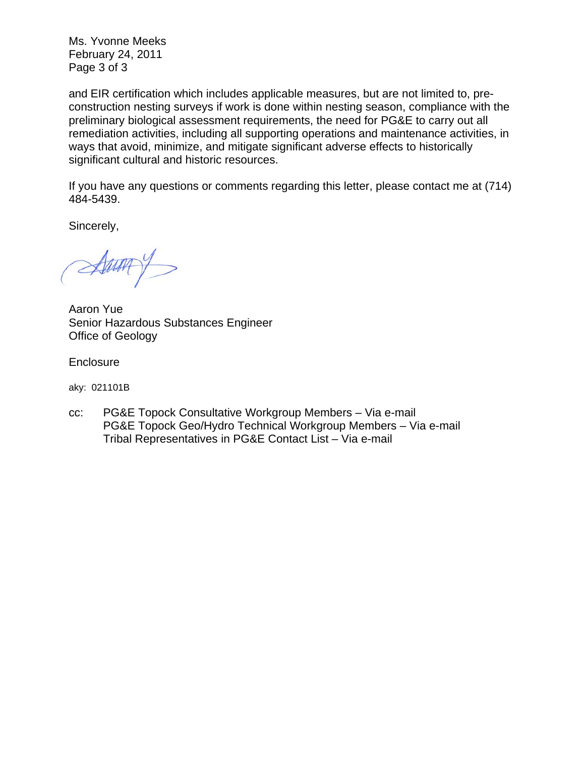Ms. Yvonne Meeks February 24, 2011 Page 3 of 3

and EIR certification which includes applicable measures, but are not limited to, preconstruction nesting surveys if work is done within nesting season, compliance with the preliminary biological assessment requirements, the need for PG&E to carry out all remediation activities, including all supporting operations and maintenance activities, in ways that avoid, minimize, and mitigate significant adverse effects to historically significant cultural and historic resources.

If you have any questions or comments regarding this letter, please contact me at (714) 484-5439.

Sincerely,

 $\mathcal{A}$ 

Aaron Yue Senior Hazardous Substances Engineer Office of Geology

**Enclosure** 

aky: 021101B

cc: PG&E Topock Consultative Workgroup Members – Via e-mail PG&E Topock Geo/Hydro Technical Workgroup Members – Via e-mail Tribal Representatives in PG&E Contact List – Via e-mail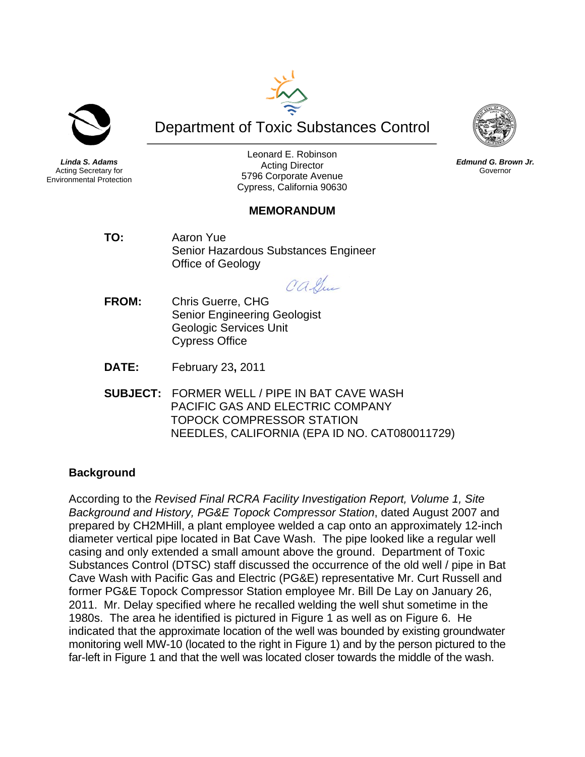

*Linda S. Adams*  Acting Secretary for Environmental Protection

Leonard E. Robinson Acting Director 5796 Corporate Avenue Cypress, California 90630

Department of Toxic Substances Control

## **MEMORANDUM**

**TO:** Aaron Yue Senior Hazardous Substances Engineer Office of Geology

Calle

- **FROM:** Chris Guerre, CHG Senior Engineering Geologist Geologic Services Unit Cypress Office
- **DATE:** February 23**,** 2011
- **SUBJECT:** FORMER WELL / PIPE IN BAT CAVE WASH PACIFIC GAS AND ELECTRIC COMPANY TOPOCK COMPRESSOR STATION NEEDLES, CALIFORNIA (EPA ID NO. CAT080011729)

## **Background**

According to the *Revised Final RCRA Facility Investigation Report, Volume 1, Site Background and History, PG&E Topock Compressor Station*, dated August 2007 and prepared by CH2MHill, a plant employee welded a cap onto an approximately 12-inch diameter vertical pipe located in Bat Cave Wash. The pipe looked like a regular well casing and only extended a small amount above the ground. Department of Toxic Substances Control (DTSC) staff discussed the occurrence of the old well / pipe in Bat Cave Wash with Pacific Gas and Electric (PG&E) representative Mr. Curt Russell and former PG&E Topock Compressor Station employee Mr. Bill De Lay on January 26, 2011. Mr. Delay specified where he recalled welding the well shut sometime in the 1980s. The area he identified is pictured in Figure 1 as well as on Figure 6. He indicated that the approximate location of the well was bounded by existing groundwater monitoring well MW-10 (located to the right in Figure 1) and by the person pictured to the far-left in Figure 1 and that the well was located closer towards the middle of the wash.



*Edmund G. Brown Jr.*  Governor

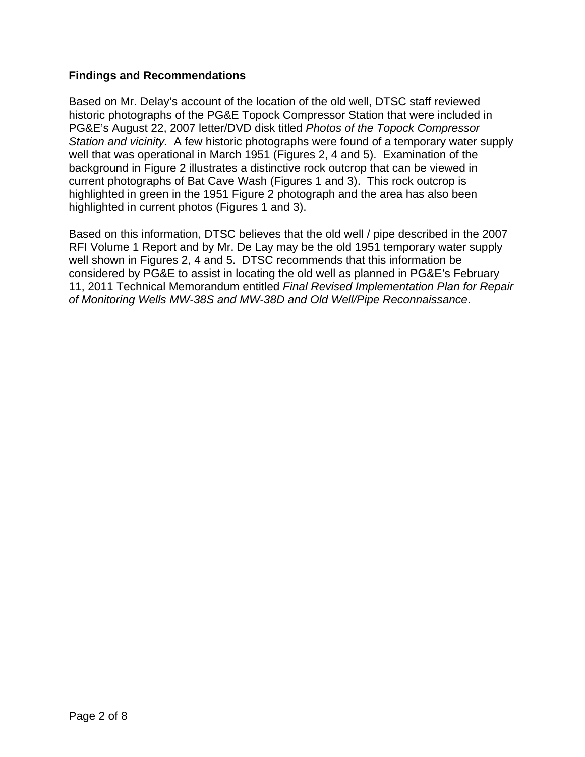## **Findings and Recommendations**

Based on Mr. Delay's account of the location of the old well, DTSC staff reviewed historic photographs of the PG&E Topock Compressor Station that were included in PG&E's August 22, 2007 letter/DVD disk titled *Photos of the Topock Compressor Station and vicinity.* A few historic photographs were found of a temporary water supply well that was operational in March 1951 (Figures 2, 4 and 5). Examination of the background in Figure 2 illustrates a distinctive rock outcrop that can be viewed in current photographs of Bat Cave Wash (Figures 1 and 3). This rock outcrop is highlighted in green in the 1951 Figure 2 photograph and the area has also been highlighted in current photos (Figures 1 and 3).

Based on this information, DTSC believes that the old well / pipe described in the 2007 RFI Volume 1 Report and by Mr. De Lay may be the old 1951 temporary water supply well shown in Figures 2, 4 and 5. DTSC recommends that this information be considered by PG&E to assist in locating the old well as planned in PG&E's February 11, 2011 Technical Memorandum entitled *Final Revised Implementation Plan for Repair of Monitoring Wells MW-38S and MW-38D and Old Well/Pipe Reconnaissance*.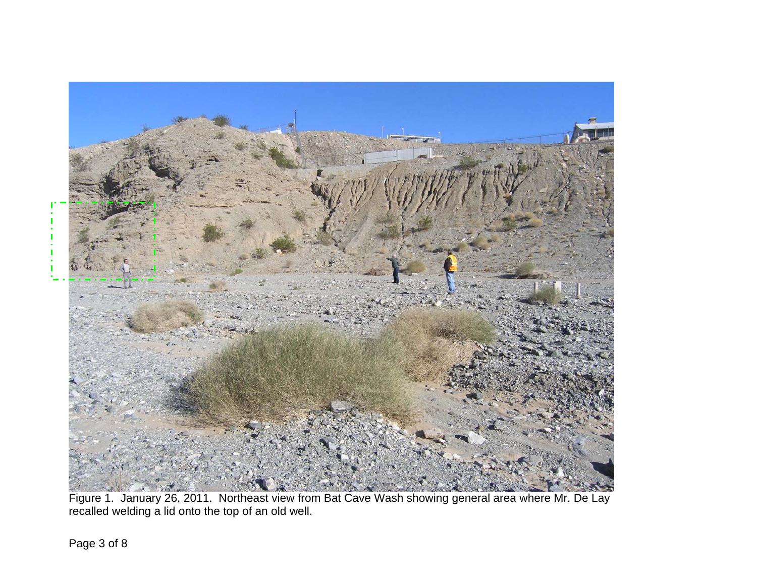

Figure 1. January 26, 2011. Northeast view from Bat Cave Wash showing general area where Mr. De Lay recalled welding a lid onto the top of an old well.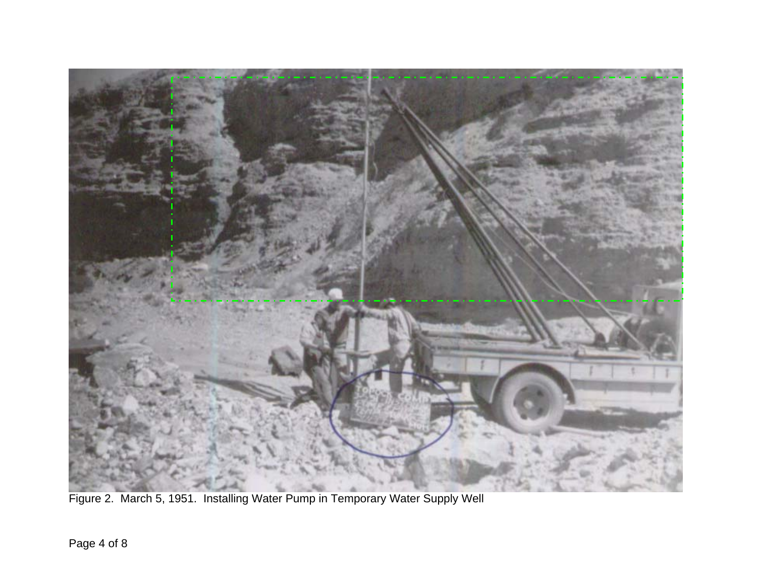

Figure 2. March 5, 1951. Installing Water Pump in Temporary Water Supply Well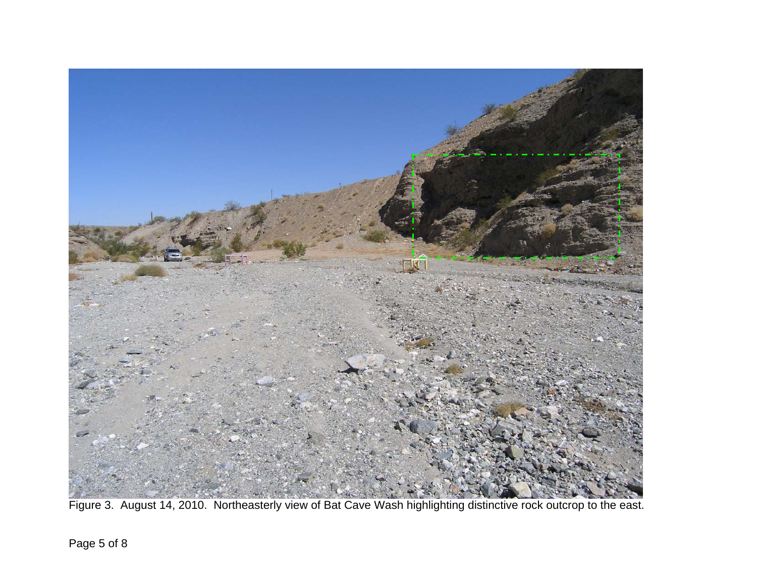

Figure 3. August 14, 2010. Northeasterly view of Bat Cave Wash highlighting distinctive rock outcrop to the east.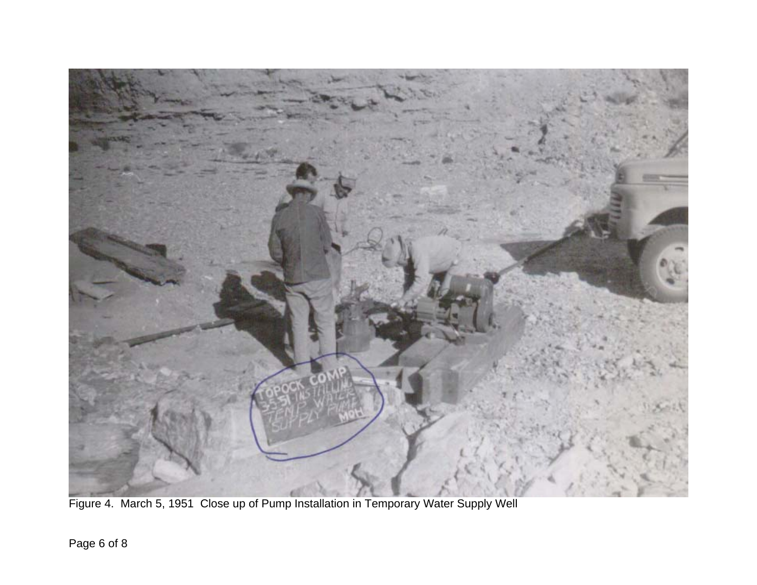

Figure 4. March 5, 1951 Close up of Pump Installation in Temporary Water Supply Well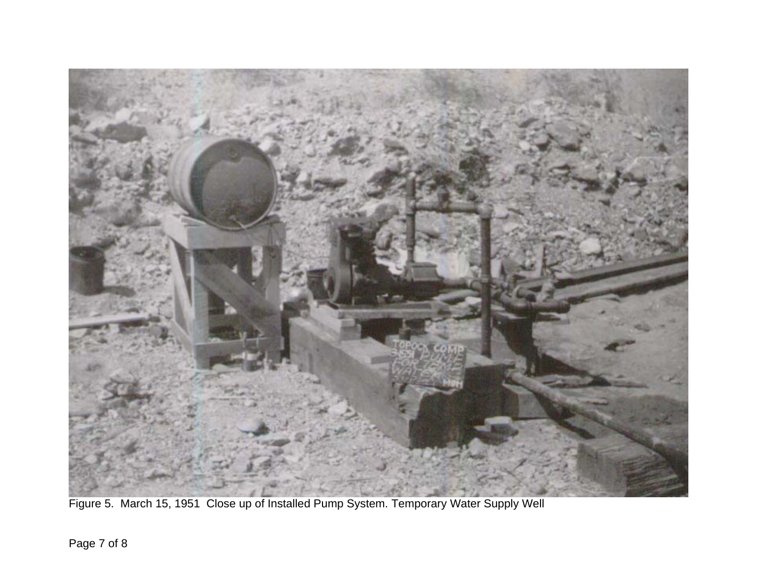

Figure 5. March 15, 1951 Close up of Installed Pump System. Temporary Water Supply Well